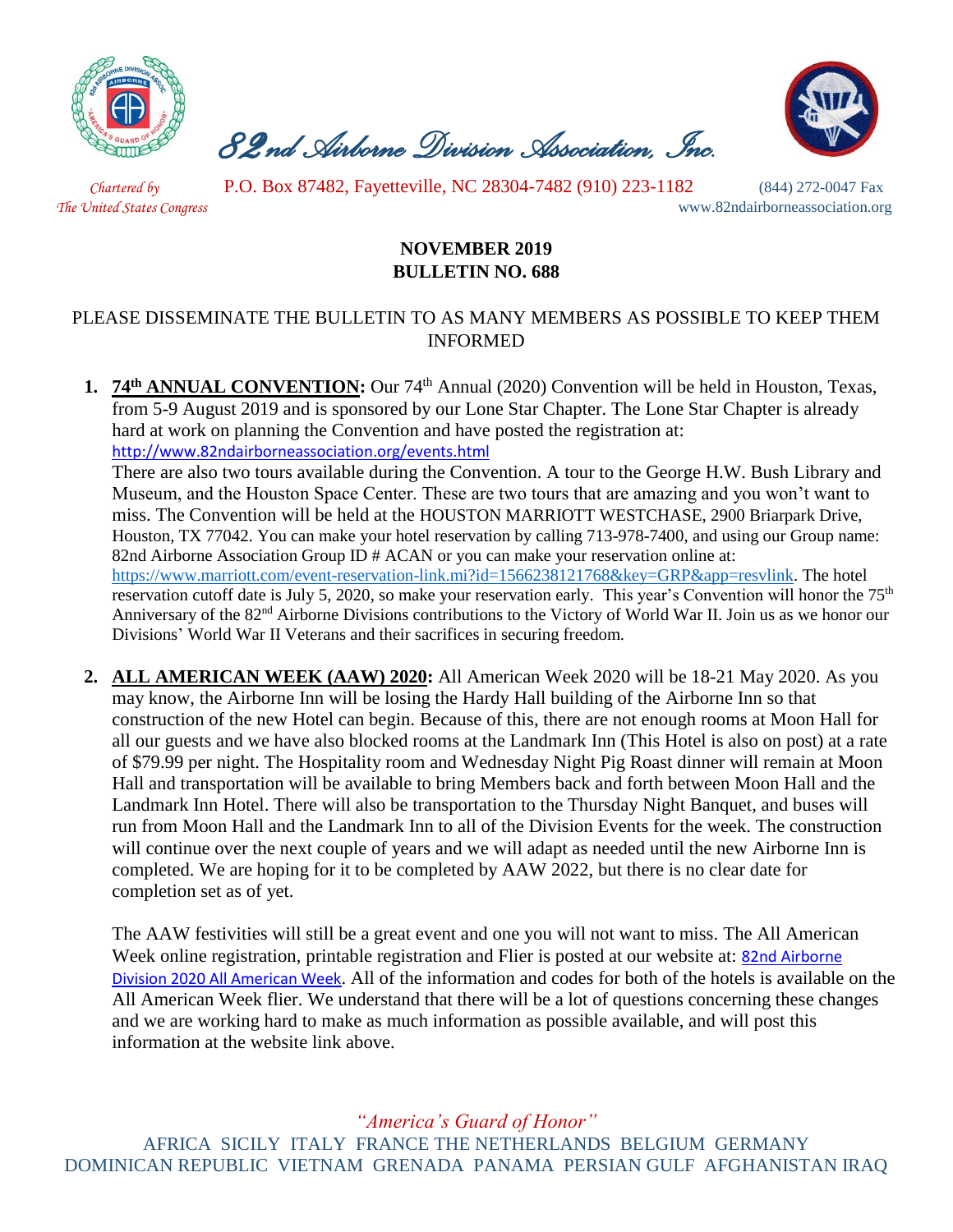

 *82nd Airborne Division Association, Inc.* 



 *Chartered by* P.O. Box 87482, Fayetteville, NC 28304-7482 (910) 223-1182 (844) 272-0047 Fax

*The United States Congress* www.82ndairborneassociation.org

# **NOVEMBER 2019 BULLETIN NO. 688**

#### PLEASE DISSEMINATE THE BULLETIN TO AS MANY MEMBERS AS POSSIBLE TO KEEP THEM INFORMED

**1. 74th ANNUAL CONVENTION:** Our 74th Annual (2020) Convention will be held in Houston, Texas, from 5-9 August 2019 and is sponsored by our Lone Star Chapter. The Lone Star Chapter is already hard at work on planning the Convention and have posted the registration at: <http://www.82ndairborneassociation.org/events.html>

There are also two tours available during the Convention. A tour to the George H.W. Bush Library and Museum, and the Houston Space Center. These are two tours that are amazing and you won't want to miss. The Convention will be held at the HOUSTON MARRIOTT WESTCHASE, 2900 Briarpark Drive, Houston, TX 77042. You can make your hotel reservation by calling 713-978-7400, and using our Group name: 82nd Airborne Association Group ID # ACAN or you can make your reservation online at: [https://www.marriott.com/event-reservation-link.mi?id=1566238121768&key=GRP&app=resvlink.](https://www.marriott.com/event-reservation-link.mi?id=1566238121768&key=GRP&app=resvlink) The hotel reservation cutoff date is July 5, 2020, so make your reservation early. This year's Convention will honor the 75<sup>th</sup> Anniversary of the 82nd Airborne Divisions contributions to the Victory of World War II. Join us as we honor our Divisions' World War II Veterans and their sacrifices in securing freedom.

**2. ALL AMERICAN WEEK (AAW) 2020:** All American Week 2020 will be 18-21 May 2020. As you may know, the Airborne Inn will be losing the Hardy Hall building of the Airborne Inn so that construction of the new Hotel can begin. Because of this, there are not enough rooms at Moon Hall for all our guests and we have also blocked rooms at the Landmark Inn (This Hotel is also on post) at a rate of \$79.99 per night. The Hospitality room and Wednesday Night Pig Roast dinner will remain at Moon Hall and transportation will be available to bring Members back and forth between Moon Hall and the Landmark Inn Hotel. There will also be transportation to the Thursday Night Banquet, and buses will run from Moon Hall and the Landmark Inn to all of the Division Events for the week. The construction will continue over the next couple of years and we will adapt as needed until the new Airborne Inn is completed. We are hoping for it to be completed by AAW 2022, but there is no clear date for completion set as of yet.

The AAW festivities will still be a great event and one you will not want to miss. The All American Week online registration, printable registration and Flier is posted at our website at: **82nd Airborne** [Division 2020 All American Week](http://www.82ndairborneassociation.org/aaw.html). All of the information and codes for both of the hotels is available on the All American Week flier. We understand that there will be a lot of questions concerning these changes and we are working hard to make as much information as possible available, and will post this information at the website link above.

*"America's Guard of Honor"*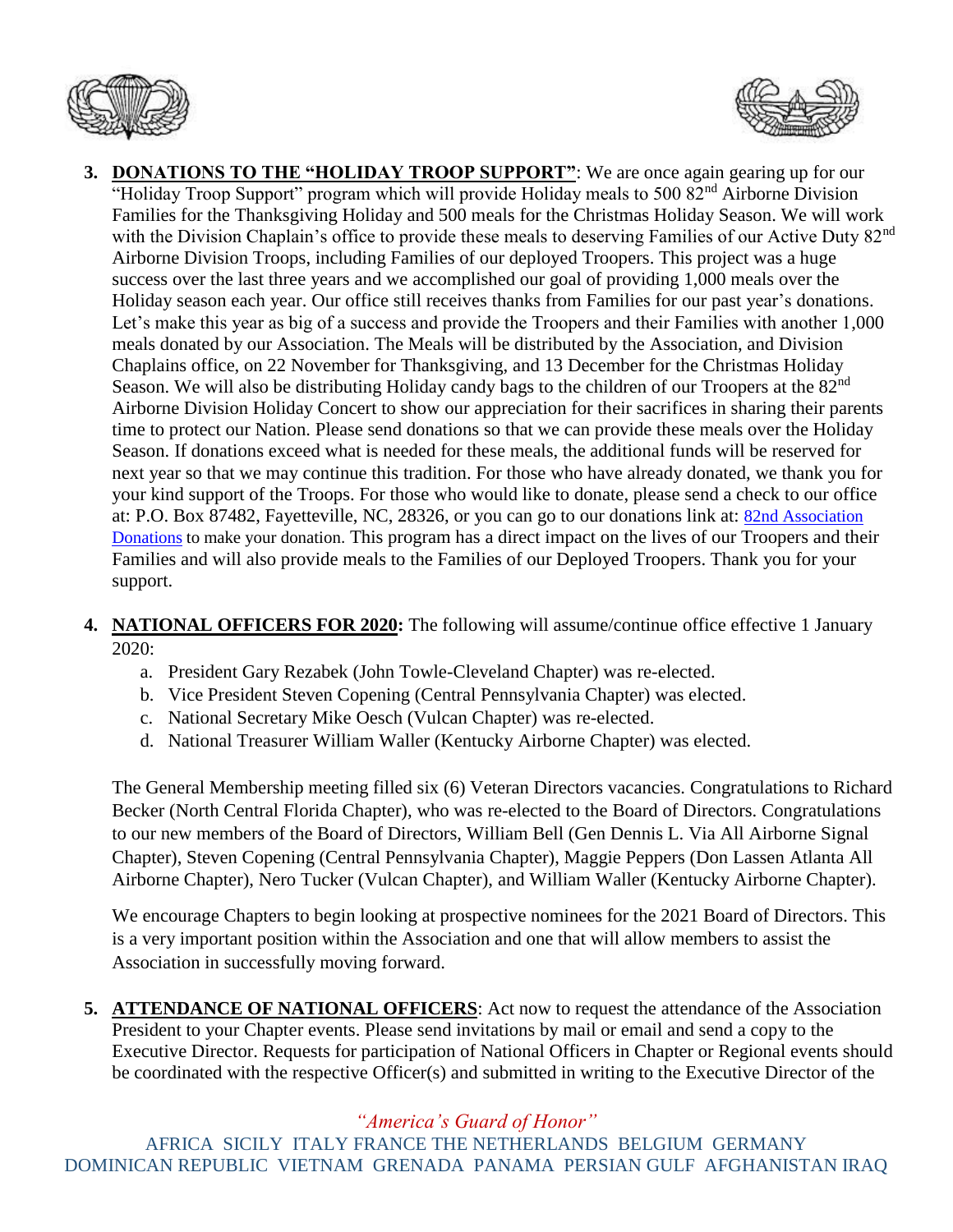



- **3. DONATIONS TO THE "HOLIDAY TROOP SUPPORT"**: We are once again gearing up for our "Holiday Troop Support" program which will provide Holiday meals to 500 82<sup>nd</sup> Airborne Division Families for the Thanksgiving Holiday and 500 meals for the Christmas Holiday Season. We will work with the Division Chaplain's office to provide these meals to deserving Families of our Active Duty 82<sup>nd</sup> Airborne Division Troops, including Families of our deployed Troopers. This project was a huge success over the last three years and we accomplished our goal of providing 1,000 meals over the Holiday season each year. Our office still receives thanks from Families for our past year's donations. Let's make this year as big of a success and provide the Troopers and their Families with another 1,000 meals donated by our Association. The Meals will be distributed by the Association, and Division Chaplains office, on 22 November for Thanksgiving, and 13 December for the Christmas Holiday Season. We will also be distributing Holiday candy bags to the children of our Troopers at the 82<sup>nd</sup> Airborne Division Holiday Concert to show our appreciation for their sacrifices in sharing their parents time to protect our Nation. Please send donations so that we can provide these meals over the Holiday Season. If donations exceed what is needed for these meals, the additional funds will be reserved for next year so that we may continue this tradition. For those who have already donated, we thank you for your kind support of the Troops. For those who would like to donate, please send a check to our office at: P.O. Box 87482, Fayetteville, NC, 28326, or you can go to our donations link at: [82nd Association](http://www.82ndairborneassociation.org/donate.html)  [Donations](http://www.82ndairborneassociation.org/donate.html) to make your donation. This program has a direct impact on the lives of our Troopers and their Families and will also provide meals to the Families of our Deployed Troopers. Thank you for your support.
- **4. NATIONAL OFFICERS FOR 2020:** The following will assume/continue office effective 1 January 2020:
	- a. President Gary Rezabek (John Towle-Cleveland Chapter) was re-elected.
	- b. Vice President Steven Copening (Central Pennsylvania Chapter) was elected.
	- c. National Secretary Mike Oesch (Vulcan Chapter) was re-elected.
	- d. National Treasurer William Waller (Kentucky Airborne Chapter) was elected.

The General Membership meeting filled six (6) Veteran Directors vacancies. Congratulations to Richard Becker (North Central Florida Chapter), who was re-elected to the Board of Directors. Congratulations to our new members of the Board of Directors, William Bell (Gen Dennis L. Via All Airborne Signal Chapter), Steven Copening (Central Pennsylvania Chapter), Maggie Peppers (Don Lassen Atlanta All Airborne Chapter), Nero Tucker (Vulcan Chapter), and William Waller (Kentucky Airborne Chapter).

We encourage Chapters to begin looking at prospective nominees for the 2021 Board of Directors. This is a very important position within the Association and one that will allow members to assist the Association in successfully moving forward.

**5. ATTENDANCE OF NATIONAL OFFICERS**: Act now to request the attendance of the Association President to your Chapter events. Please send invitations by mail or email and send a copy to the Executive Director. Requests for participation of National Officers in Chapter or Regional events should be coordinated with the respective Officer(s) and submitted in writing to the Executive Director of the

# *"America's Guard of Honor"*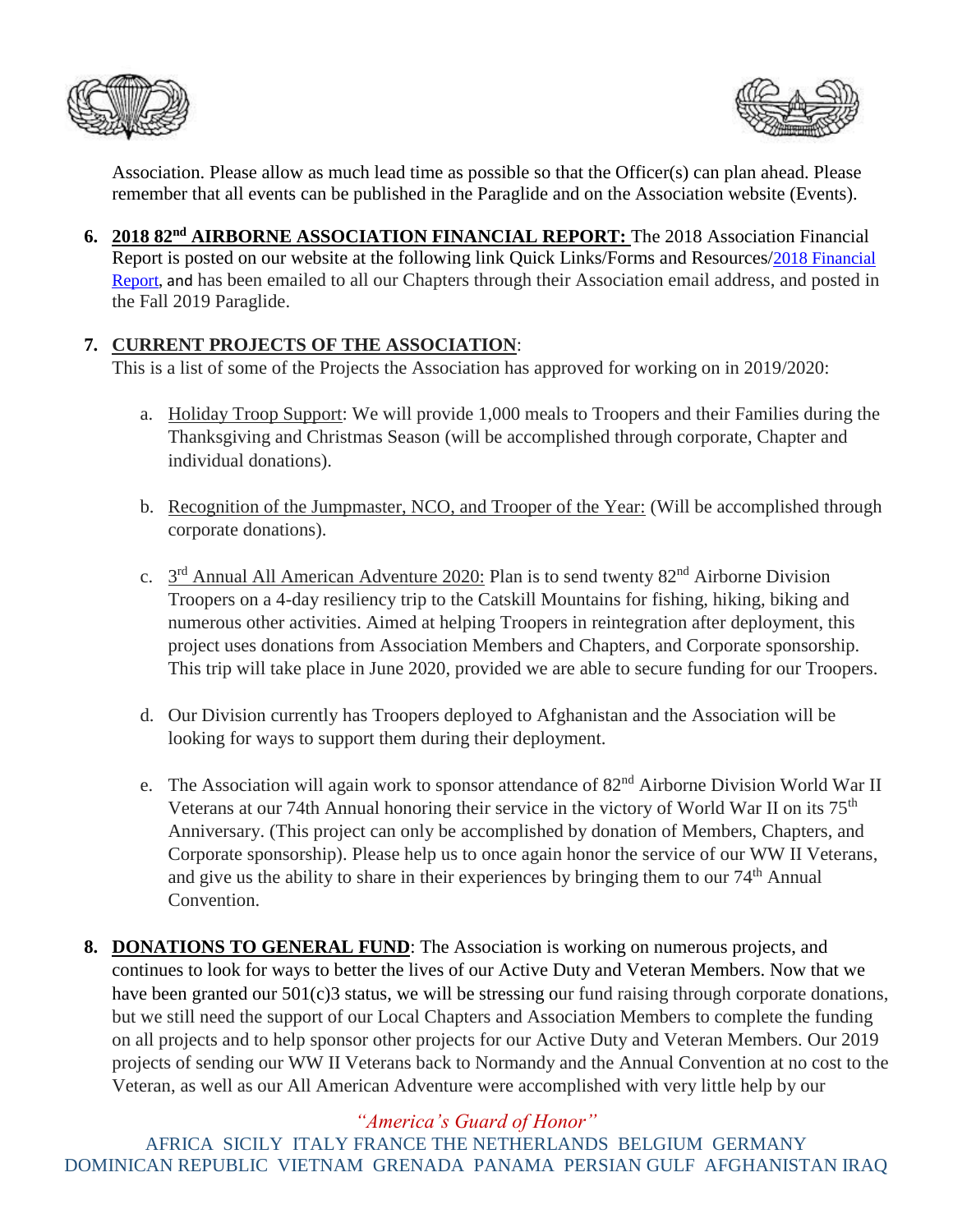



Association. Please allow as much lead time as possible so that the Officer(s) can plan ahead. Please remember that all events can be published in the Paraglide and on the Association website (Events).

**6. 2018 82nd AIRBORNE ASSOCIATION FINANCIAL REPORT:** The 2018 Association Financial Report is posted on our website at the following link Quick Links/Forms and Resources/[2018 Financial](http://www.82ndairborneassociation.org/assets/2018-annual-audit-for-publishing.pdf)  [Report,](http://www.82ndairborneassociation.org/assets/2018-annual-audit-for-publishing.pdf) and has been emailed to all our Chapters through their Association email address, and posted in the Fall 2019 Paraglide.

### **7. CURRENT PROJECTS OF THE ASSOCIATION**:

This is a list of some of the Projects the Association has approved for working on in 2019/2020:

- a. Holiday Troop Support: We will provide 1,000 meals to Troopers and their Families during the Thanksgiving and Christmas Season (will be accomplished through corporate, Chapter and individual donations).
- b. Recognition of the Jumpmaster, NCO, and Trooper of the Year: (Will be accomplished through corporate donations).
- c.  $3<sup>rd</sup>$  Annual All American Adventure 2020: Plan is to send twenty 82<sup>nd</sup> Airborne Division Troopers on a 4-day resiliency trip to the Catskill Mountains for fishing, hiking, biking and numerous other activities. Aimed at helping Troopers in reintegration after deployment, this project uses donations from Association Members and Chapters, and Corporate sponsorship. This trip will take place in June 2020, provided we are able to secure funding for our Troopers.
- d. Our Division currently has Troopers deployed to Afghanistan and the Association will be looking for ways to support them during their deployment.
- e. The Association will again work to sponsor attendance of 82<sup>nd</sup> Airborne Division World War II Veterans at our 74th Annual honoring their service in the victory of World War II on its 75<sup>th</sup> Anniversary. (This project can only be accomplished by donation of Members, Chapters, and Corporate sponsorship). Please help us to once again honor the service of our WW II Veterans, and give us the ability to share in their experiences by bringing them to our 74th Annual Convention.
- **8. DONATIONS TO GENERAL FUND**: The Association is working on numerous projects, and continues to look for ways to better the lives of our Active Duty and Veteran Members. Now that we have been granted our 501(c)3 status, we will be stressing our fund raising through corporate donations, but we still need the support of our Local Chapters and Association Members to complete the funding on all projects and to help sponsor other projects for our Active Duty and Veteran Members. Our 2019 projects of sending our WW II Veterans back to Normandy and the Annual Convention at no cost to the Veteran, as well as our All American Adventure were accomplished with very little help by our

# *"America's Guard of Honor"*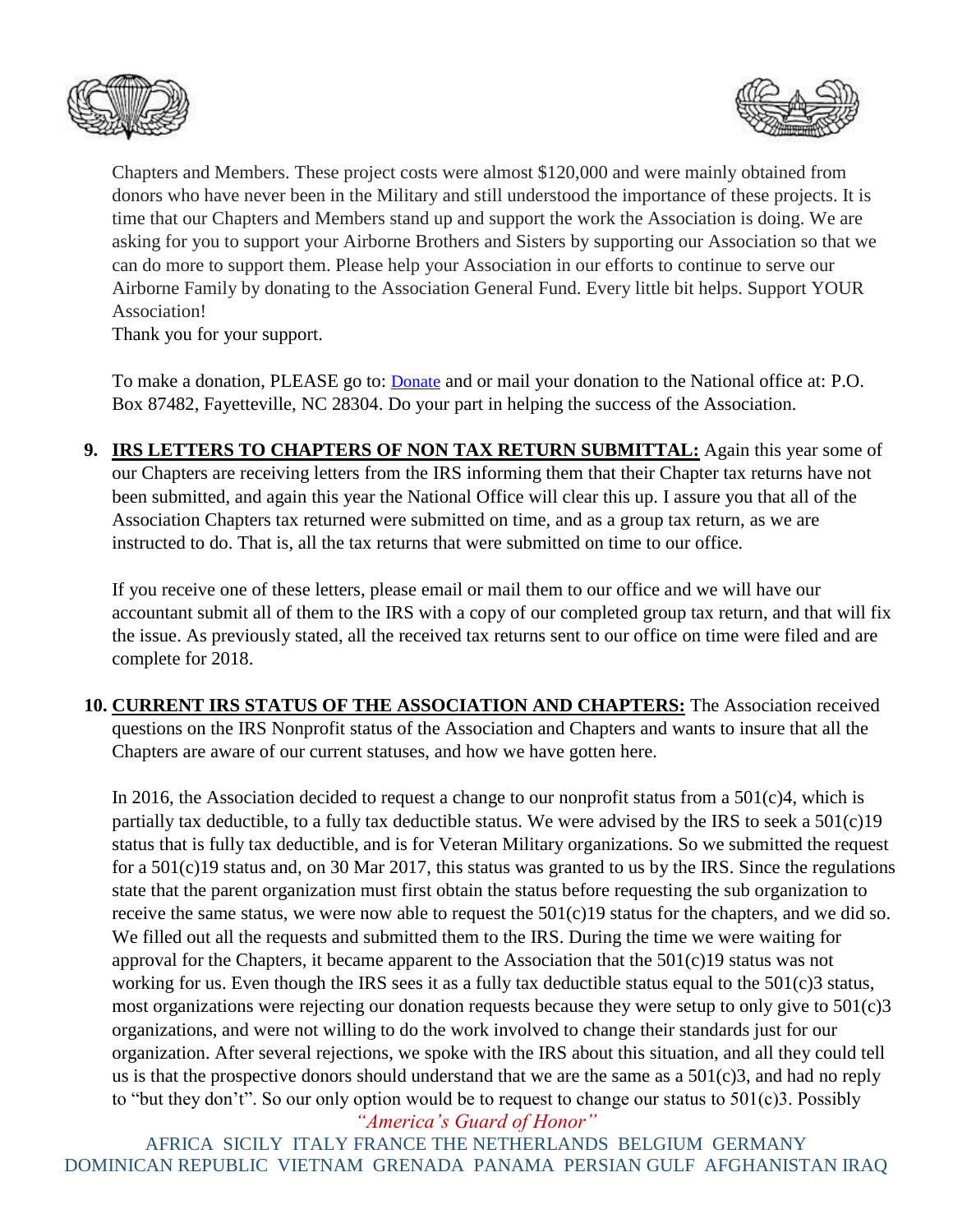



Chapters and Members. These project costs were almost \$120,000 and were mainly obtained from donors who have never been in the Military and still understood the importance of these projects. It is time that our Chapters and Members stand up and support the work the Association is doing. We are asking for you to support your Airborne Brothers and Sisters by supporting our Association so that we can do more to support them. Please help your Association in our efforts to continue to serve our Airborne Family by donating to the Association General Fund. Every little bit helps. Support YOUR Association!

Thank you for your support.

To make a donation, PLEASE go to: **[Donate](http://www.82ndairborneassociation.org/donate.html)** and or mail your donation to the National office at: P.O. Box 87482, Fayetteville, NC 28304. Do your part in helping the success of the Association.

**9. IRS LETTERS TO CHAPTERS OF NON TAX RETURN SUBMITTAL:** Again this year some of our Chapters are receiving letters from the IRS informing them that their Chapter tax returns have not been submitted, and again this year the National Office will clear this up. I assure you that all of the Association Chapters tax returned were submitted on time, and as a group tax return, as we are instructed to do. That is, all the tax returns that were submitted on time to our office.

If you receive one of these letters, please email or mail them to our office and we will have our accountant submit all of them to the IRS with a copy of our completed group tax return, and that will fix the issue. As previously stated, all the received tax returns sent to our office on time were filed and are complete for 2018.

**10. CURRENT IRS STATUS OF THE ASSOCIATION AND CHAPTERS:** The Association received questions on the IRS Nonprofit status of the Association and Chapters and wants to insure that all the Chapters are aware of our current statuses, and how we have gotten here.

In 2016, the Association decided to request a change to our nonprofit status from a  $501(c)4$ , which is partially tax deductible, to a fully tax deductible status. We were advised by the IRS to seek a 501(c)19 status that is fully tax deductible, and is for Veteran Military organizations. So we submitted the request for a 501(c)19 status and, on 30 Mar 2017, this status was granted to us by the IRS. Since the regulations state that the parent organization must first obtain the status before requesting the sub organization to receive the same status, we were now able to request the  $501(c)19$  status for the chapters, and we did so. We filled out all the requests and submitted them to the IRS. During the time we were waiting for approval for the Chapters, it became apparent to the Association that the 501(c)19 status was not working for us. Even though the IRS sees it as a fully tax deductible status equal to the 501(c)3 status, most organizations were rejecting our donation requests because they were setup to only give to 501(c)3 organizations, and were not willing to do the work involved to change their standards just for our organization. After several rejections, we spoke with the IRS about this situation, and all they could tell us is that the prospective donors should understand that we are the same as a  $501(c)3$ , and had no reply to "but they don't". So our only option would be to request to change our status to 501(c)3. Possibly

*"America's Guard of Honor"*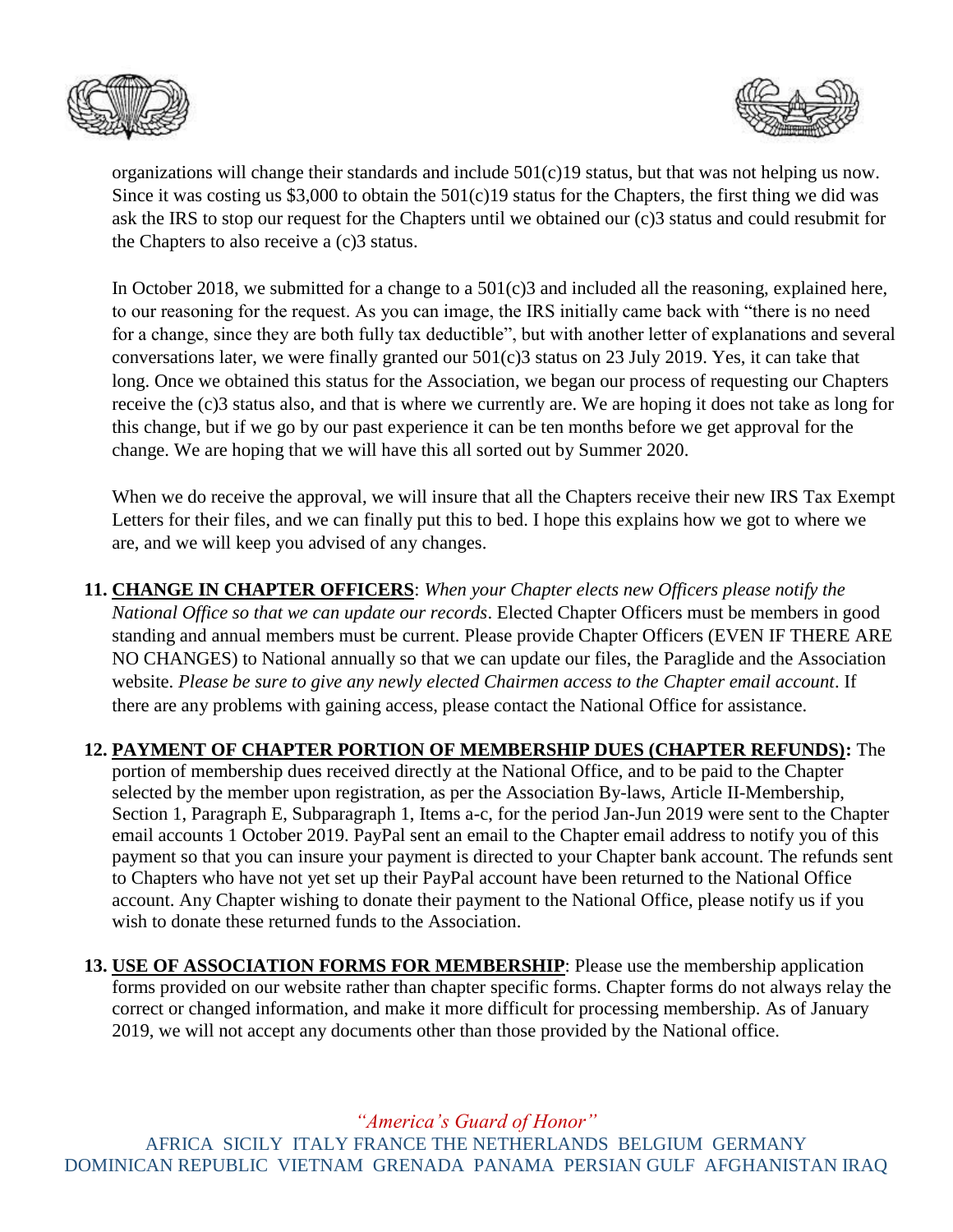



organizations will change their standards and include 501(c)19 status, but that was not helping us now. Since it was costing us  $$3,000$  to obtain the  $501(c)19$  status for the Chapters, the first thing we did was ask the IRS to stop our request for the Chapters until we obtained our (c)3 status and could resubmit for the Chapters to also receive a (c)3 status.

In October 2018, we submitted for a change to a 501(c)3 and included all the reasoning, explained here, to our reasoning for the request. As you can image, the IRS initially came back with "there is no need for a change, since they are both fully tax deductible", but with another letter of explanations and several conversations later, we were finally granted our 501(c)3 status on 23 July 2019. Yes, it can take that long. Once we obtained this status for the Association, we began our process of requesting our Chapters receive the (c)3 status also, and that is where we currently are. We are hoping it does not take as long for this change, but if we go by our past experience it can be ten months before we get approval for the change. We are hoping that we will have this all sorted out by Summer 2020.

When we do receive the approval, we will insure that all the Chapters receive their new IRS Tax Exempt Letters for their files, and we can finally put this to bed. I hope this explains how we got to where we are, and we will keep you advised of any changes.

**11. CHANGE IN CHAPTER OFFICERS**: *When your Chapter elects new Officers please notify the National Office so that we can update our records*. Elected Chapter Officers must be members in good standing and annual members must be current. Please provide Chapter Officers (EVEN IF THERE ARE NO CHANGES) to National annually so that we can update our files, the Paraglide and the Association website. *Please be sure to give any newly elected Chairmen access to the Chapter email account*. If there are any problems with gaining access, please contact the National Office for assistance.

**12. PAYMENT OF CHAPTER PORTION OF MEMBERSHIP DUES (CHAPTER REFUNDS):** The portion of membership dues received directly at the National Office, and to be paid to the Chapter selected by the member upon registration, as per the Association By-laws, Article II-Membership, Section 1, Paragraph E, Subparagraph 1, Items a-c, for the period Jan-Jun 2019 were sent to the Chapter email accounts 1 October 2019. PayPal sent an email to the Chapter email address to notify you of this payment so that you can insure your payment is directed to your Chapter bank account. The refunds sent to Chapters who have not yet set up their PayPal account have been returned to the National Office account. Any Chapter wishing to donate their payment to the National Office, please notify us if you wish to donate these returned funds to the Association.

**13. USE OF ASSOCIATION FORMS FOR MEMBERSHIP**: Please use the membership application forms provided on our website rather than chapter specific forms. Chapter forms do not always relay the correct or changed information, and make it more difficult for processing membership. As of January 2019, we will not accept any documents other than those provided by the National office.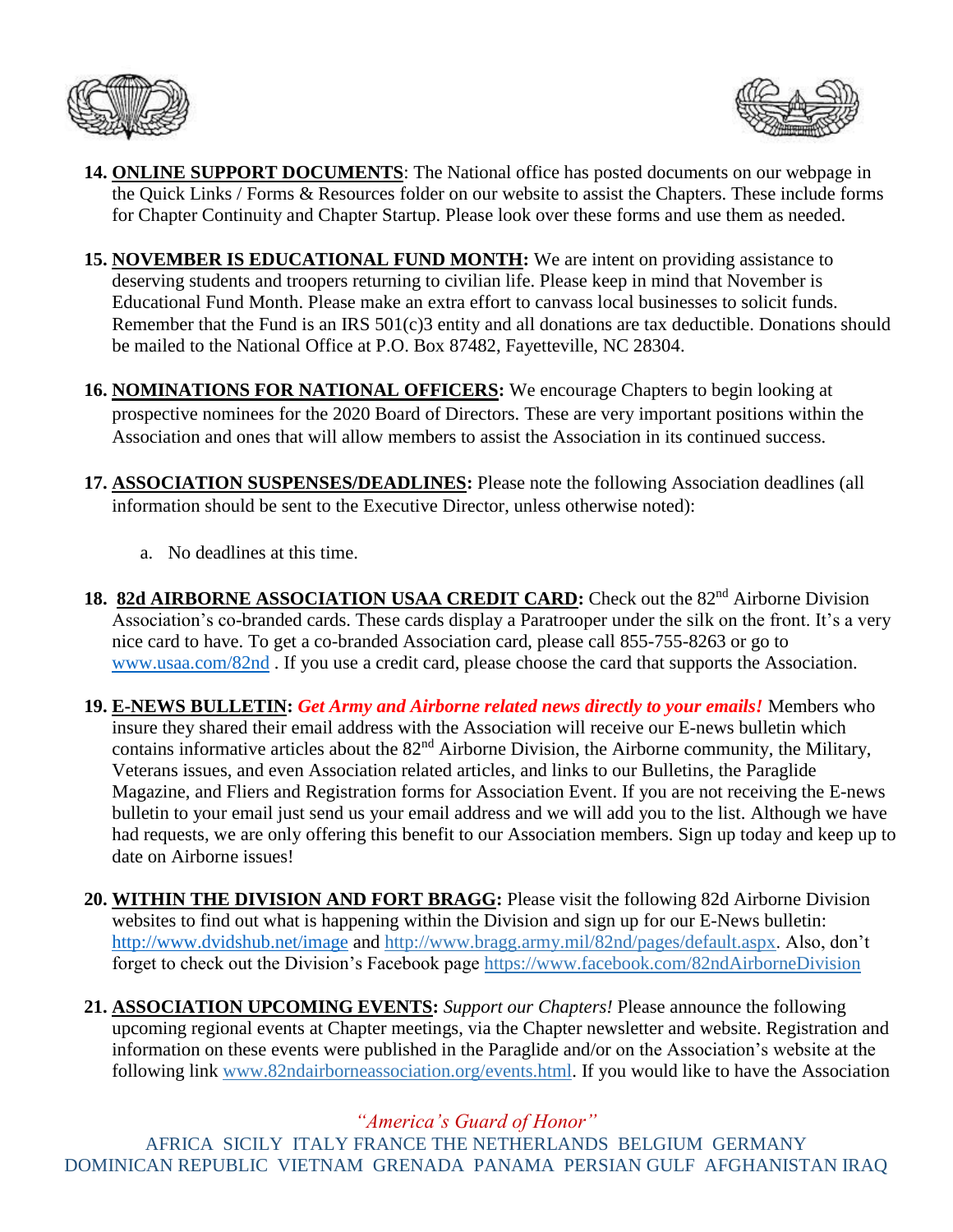



- **14. ONLINE SUPPORT DOCUMENTS**: The National office has posted documents on our webpage in the Quick Links / Forms & Resources folder on our website to assist the Chapters. These include forms for Chapter Continuity and Chapter Startup. Please look over these forms and use them as needed.
- **15. NOVEMBER IS EDUCATIONAL FUND MONTH:** We are intent on providing assistance to deserving students and troopers returning to civilian life. Please keep in mind that November is Educational Fund Month. Please make an extra effort to canvass local businesses to solicit funds. Remember that the Fund is an IRS 501(c)3 entity and all donations are tax deductible. Donations should be mailed to the National Office at P.O. Box 87482, Fayetteville, NC 28304.
- **16. NOMINATIONS FOR NATIONAL OFFICERS:** We encourage Chapters to begin looking at prospective nominees for the 2020 Board of Directors. These are very important positions within the Association and ones that will allow members to assist the Association in its continued success.
- **17. ASSOCIATION SUSPENSES/DEADLINES:** Please note the following Association deadlines (all information should be sent to the Executive Director, unless otherwise noted):
	- a. No deadlines at this time.
- 18. 82d AIRBORNE ASSOCIATION USAA CREDIT CARD: Check out the 82<sup>nd</sup> Airborne Division Association's co-branded cards. These cards display a Paratrooper under the silk on the front. It's a very nice card to have. To get a co-branded Association card, please call 855-755-8263 or go to [www.usaa.com/82nd](http://www.usaa.com/82nd) . If you use a credit card, please choose the card that supports the Association.
- **19. E-NEWS BULLETIN:** *Get Army and Airborne related news directly to your emails!* Members who insure they shared their email address with the Association will receive our E-news bulletin which contains informative articles about the 82<sup>nd</sup> Airborne Division, the Airborne community, the Military, Veterans issues, and even Association related articles, and links to our Bulletins, the Paraglide Magazine, and Fliers and Registration forms for Association Event. If you are not receiving the E-news bulletin to your email just send us your email address and we will add you to the list. Although we have had requests, we are only offering this benefit to our Association members. Sign up today and keep up to date on Airborne issues!
- **20. WITHIN THE DIVISION AND FORT BRAGG:** Please visit the following 82d Airborne Division websites to find out what is happening within the Division and sign up for our E-News bulletin: <http://www.dvidshub.net/image> and [http://www.bragg.army.mil/82nd/pages/default.aspx.](http://www.bragg.army.mil/82ND/Pages/default.aspx) Also, don't forget to check out the Division's Facebook page<https://www.facebook.com/82ndAirborneDivision>
- **21. ASSOCIATION UPCOMING EVENTS:** *Support our Chapters!* Please announce the following upcoming regional events at Chapter meetings, via the Chapter newsletter and website. Registration and information on these events were published in the Paraglide and/or on the Association's website at the following link [www.82ndairborneassociation.org/events.html.](http://www.82ndairborneassociation.org/events.html) If you would like to have the Association

# *"America's Guard of Honor"*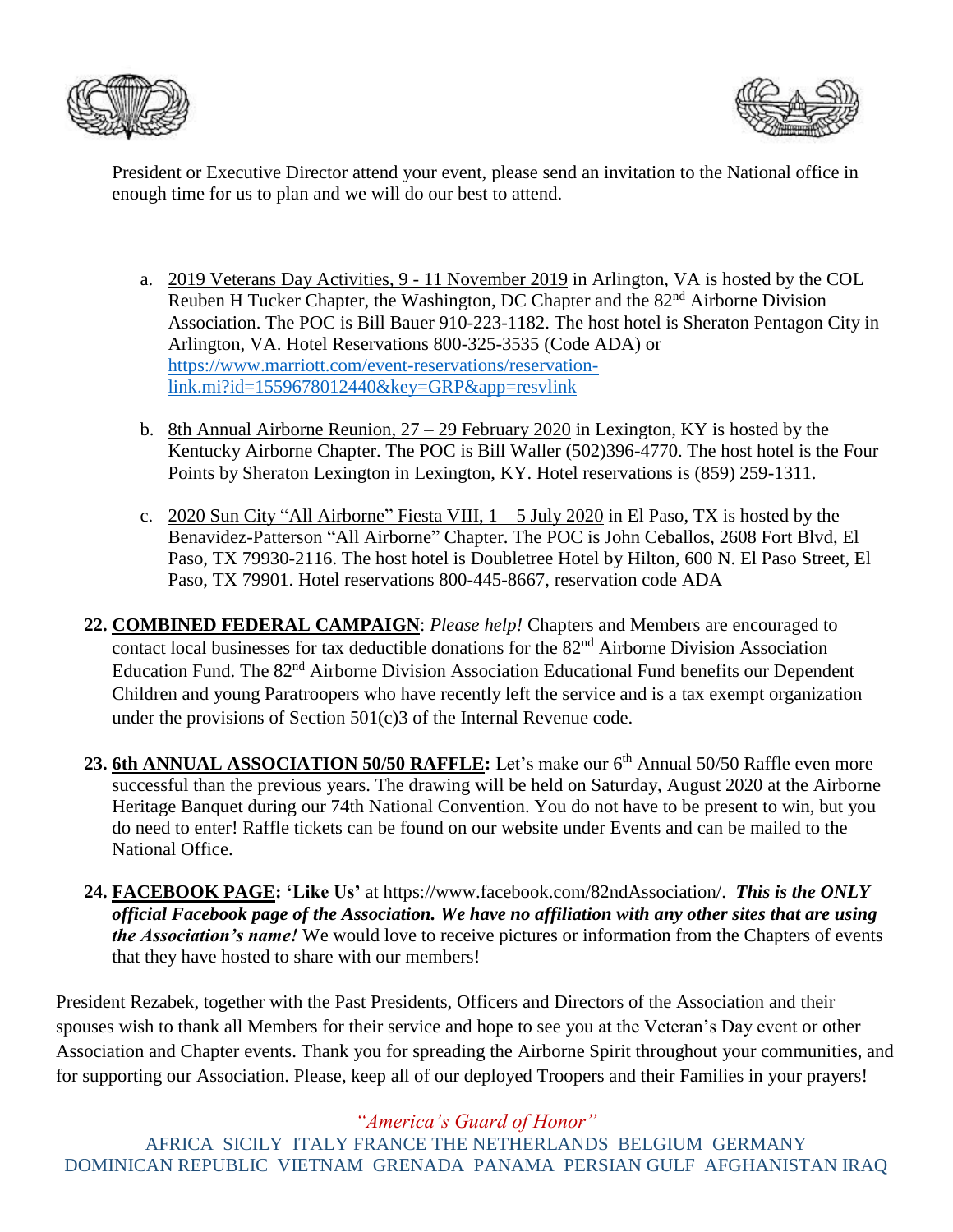



President or Executive Director attend your event, please send an invitation to the National office in enough time for us to plan and we will do our best to attend.

- a. 2019 Veterans Day Activities, 9 11 November 2019 in Arlington, VA is hosted by the COL Reuben H Tucker Chapter, the Washington, DC Chapter and the 82<sup>nd</sup> Airborne Division Association. The POC is Bill Bauer 910-223-1182. The host hotel is Sheraton Pentagon City in Arlington, VA. Hotel Reservations 800-325-3535 (Code ADA) or [https://www.marriott.com/event-reservations/reservation](https://www.marriott.com/event-reservations/reservation-link.mi?id=1559678012440&key=GRP&app=resvlink)[link.mi?id=1559678012440&key=GRP&app=resvlink](https://www.marriott.com/event-reservations/reservation-link.mi?id=1559678012440&key=GRP&app=resvlink)
- b. 8th Annual Airborne Reunion, 27 29 February 2020 in Lexington, KY is hosted by the Kentucky Airborne Chapter. The POC is Bill Waller (502)396-4770. The host hotel is the Four Points by Sheraton Lexington in Lexington, KY. Hotel reservations is (859) 259-1311.
- c. 2020 Sun City "All Airborne" Fiesta VIII,  $1 5$  July 2020 in El Paso, TX is hosted by the Benavidez-Patterson "All Airborne" Chapter. The POC is John Ceballos, 2608 Fort Blvd, El Paso, TX 79930-2116. The host hotel is Doubletree Hotel by Hilton, 600 N. El Paso Street, El Paso, TX 79901. Hotel reservations 800-445-8667, reservation code ADA
- **22. COMBINED FEDERAL CAMPAIGN**: *Please help!* Chapters and Members are encouraged to contact local businesses for tax deductible donations for the 82nd Airborne Division Association Education Fund. The 82<sup>nd</sup> Airborne Division Association Educational Fund benefits our Dependent Children and young Paratroopers who have recently left the service and is a tax exempt organization under the provisions of Section 501(c)3 of the Internal Revenue code.
- 23. 6th ANNUAL ASSOCIATION 50/50 RAFFLE: Let's make our 6<sup>th</sup> Annual 50/50 Raffle even more successful than the previous years. The drawing will be held on Saturday, August 2020 at the Airborne Heritage Banquet during our 74th National Convention. You do not have to be present to win, but you do need to enter! Raffle tickets can be found on our website under Events and can be mailed to the National Office.
- **24. FACEBOOK PAGE: 'Like Us'** at https://www.facebook.com/82ndAssociation/. *This is the ONLY official Facebook page of the Association. We have no affiliation with any other sites that are using the Association's name!* We would love to receive pictures or information from the Chapters of events that they have hosted to share with our members!

President Rezabek, together with the Past Presidents, Officers and Directors of the Association and their spouses wish to thank all Members for their service and hope to see you at the Veteran's Day event or other Association and Chapter events. Thank you for spreading the Airborne Spirit throughout your communities, and for supporting our Association. Please, keep all of our deployed Troopers and their Families in your prayers!

*"America's Guard of Honor"*